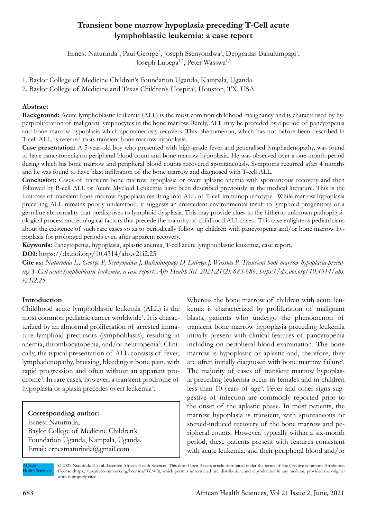## **Transient bone marrow hypoplasia preceding T-Cell acute lymphoblastic leukemia: a case report**

Ernest Naturinda<sup>1</sup>, Paul George<sup>2</sup>, Joseph Ssenyondwa<sup>1</sup>, Deogratias Bakulumpagi<sup>1</sup>, Joseph Lubega<sup>1,2</sup>, Peter Wasswa<sup>1,2</sup>

1. Baylor College of Medicine Children's Foundation Uganda, Kampala, Uganda.

2. Baylor College of Medicine and Texas Children's Hospital, Houston, TX. USA.

#### **Abstract**

**Background:** Acute lymphoblastic leukemia (ALL) is the most common childhood malignancy and is characterised by hyperproliferation of malignant lymphocytes in the bone marrow. Rarely, ALL may be preceded by a period of pancytopenia and bone marrow hypoplasia which spontaneously recovers. This phenomenon, which has not before been described in T-cell ALL, is referred to as transient bone marrow hypoplasia.

**Case presentation:** A 5-year-old boy who presented with high-grade fever and generalised lymphadenopathy, was found to have pancytopenia on peripheral blood count and bone marrow hypoplasia. He was observed over a one-month period during which his bone marrow and peripheral blood counts recovered spontaneously. Symptoms recurred after 4 months and he was found to have blast infiltration of the bone marrow and diagnosed with T-cell ALL.

**Conclusion:** Cases of transient bone marrow hypoplasia or overt aplastic anemia with spontaneous recovery and then followed by B-cell ALL or Acute Myeloid Leukemia have been described previously in the medical literature. This is the first case of transient bone marrow hypoplasia resulting into ALL of T-cell immunophenotype. While marrow hypoplasia preceding ALL remains poorly understood, it suggests an antecedent environmental insult to lymphoid progenitors or a germline abnormality that predisposes to lymphoid dysplasia. This may provide clues to the hitherto unknown pathophysiological process and etiological factors that precede the majority of childhood ALL cases. This case enlightens pediatricians about the existence of such rare cases so as to periodically follow up children with pancytopenia and/or bone marrow hypoplasia for prolonged periods even after apparent recovery.

**Keywords:** Pancytopenia, hypoplasia, aplastic anemia, T-cell acute lymphoblastic leukemia, case report.

**DOI:** https://dx.doi.org/10.4314/ahs.v21i2.25

**Cite as:** *Naturinda E, George P, Ssenyondwa J, Bakulumpagi D, Lubega J, Wasswa P. Transient bone marrow hypoplasia preceding T-Cell acute lymphoblastic leukemia: a case report. Afri Health Sci. 2021;21(2). 683-686. https://dx.doi.org/10.4314/ahs. v21i2.25*

#### **Introduction**

Childhood acute lymphoblastic leukemia (ALL) is the most common pediatric cancer worldwide<sup>1</sup>. It is characterized by an abnormal proliferation of arrested immature lymphoid precursors (lymphoblasts), resulting in anemia, thrombocytopenia, and/or neutropenia<sup>2</sup>. Clinically, the typical presentation of ALL consists of fever, lymphadenopathy, bruising, bleedingor bone pain, with rapid progression and often without an apparent prodrome3 . In rare cases, however, a transient prodrome of hypoplasia or aplasia precedes overt leukemia<sup>4</sup>.

#### **Corresponding author:**

Ernest Naturinda, Baylor College of Medicine Children's Foundation Uganda, Kampala, Uganda. Email: ernestnaturinda@gmail.com

Whereas the bone marrow of children with acute leukemia is characterized by proliferation of malignant blasts, patients who undergo the phenomenon of transient bone marrow hypoplasia preceding leukemia initially present with clinical features of pancytopenia including on peripheral blood examination. The bone marrow is hypoplastic or aplastic and, therefore, they are often initially diagnosed with bone marrow failure<sup>5</sup>. The majority of cases of transient marrow hypoplasia preceding leukemia occur in females and in children less than 10 years of age<sup>6</sup>. Fever and other signs suggestive of infection are commonly reported prior to the onset of the aplastic phase. In most patients, the marrow hypoplasia is transient, with spontaneous or steroid-induced recovery of the bone marrow and peripheral counts. However, typically within a six-month period, these patients present with features consistent with acute leukemia, and their peripheral blood and/or

African Health Sciences

© 2021 Naturinda E et al. Licensee African Health Sciences. This is an Open Access article distributed under the terms of the Creative commons Attribution License (https://creativecommons.org/licenses/BY/4.0), which permits unrestricted use, distribution, and reproduction in any medium, provided the original work is properly cited.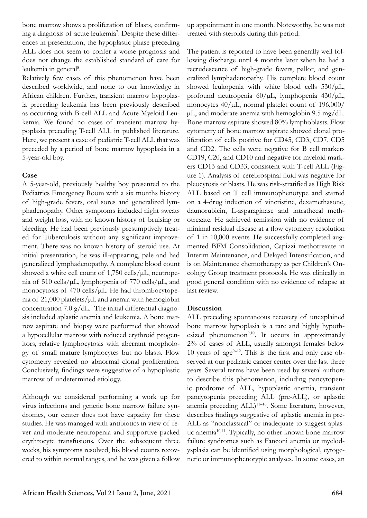bone marrow shows a proliferation of blasts, confirming a diagnosis of acute leukemia<sup>7</sup>. Despite these differences in presentation, the hypoplastic phase preceding ALL does not seem to confer a worse prognosis and does not change the established standard of care for leukemia in general<sup>8</sup>.

Relatively few cases of this phenomenon have been described worldwide, and none to our knowledge in African children. Further, transient marrow hypoplasia preceding leukemia has been previously described as occurring with B-cell ALL and Acute Myeloid Leukemia. We found no cases of transient marrow hypoplasia preceding T-cell ALL in published literature. Here, we present a case of pediatric T-cell ALL that was preceded by a period of bone marrow hypoplasia in a 5-year-old boy.

#### **Case**

A 5-year-old, previously healthy boy presented to the Pediatrics Emergency Room with a six months history of high-grade fevers, oral sores and generalized lymphadenopathy. Other symptoms included night sweats and weight loss, with no known history of bruising or bleeding. He had been previously presumptively treated for Tuberculosis without any significant improvement. There was no known history of steroid use. At initial presentation, he was ill-appearing, pale and had generalized lymphadenopathy. A complete blood count showed a white cell count of  $1,750$  cells/ $\mu$ L, neutropenia of 510 cells/µL, lymphopenia of 770 cells/µL, and monocytosis of  $470$  cells/ $\mu$ L. He had thrombocytopenia of 21,000 platelets/µL and anemia with hemoglobin concentration 7.0  $g/dL$ . The initial differential diagnosis included aplastic anemia and leukemia. A bone marrow aspirate and biopsy were performed that showed a hypocellular marrow with reduced erythroid progenitors, relative lymphocytosis with aberrant morphology of small mature lymphocytes but no blasts. Flow cytometry revealed no abnormal clonal proliferation. Conclusively, findings were suggestive of a hypoplastic marrow of undetermined etiology.

Although we considered performing a work up for virus infections and genetic bone marrow failure syndromes, our center does not have capacity for these studies. He was managed with antibiotics in view of fever and moderate neutropenia and supportive packed erythrocyte transfusions. Over the subsequent three weeks, his symptoms resolved, his blood counts recovered to within normal ranges, and he was given a follow

up appointment in one month. Noteworthy, he was not treated with steroids during this period.

The patient is reported to have been generally well following discharge until 4 months later when he had a recrudescence of high-grade fevers, pallor, and generalized lymphadenopathy. His complete blood count showed leukopenia with white blood cells  $530/\mu L$ , profound neutropenia  $60/\mu L$ , lymphopenia  $430/\mu L$ , monocytes  $40/\mu L$ , normal platelet count of 196,000/ µL, and moderate anemia with hemoglobin 9.5 mg/dL. Bone marrow aspirate showed 80% lymphoblasts. Flow cytometry of bone marrow aspirate showed clonal proliferation of cells positive for CD45, CD3, CD7, CD5 and CD2. The cells were negative for B cell markers CD19, C20, and CD10 and negative for myeloid markers CD13 and CD33, consistent with T-cell ALL (Figure 1). Analysis of cerebrospinal fluid was negative for pleocytosis or blasts. He was risk-stratified as High Risk ALL based on T cell immunophenotype and started on a 4-drug induction of vincristine, dexamethasone, daunorubicin, L-asparaginase and intrathecal methotrexate. He achieved remission with no evidence of minimal residual disease at a flow cytometry resolution of 1 in 10,000 events. He successfully completed augmented BFM Consolidation, Capizzi methotrexate in Interim Maintenance, and Delayed Intensification, and is on Maintenance chemotherapy as per Children's Oncology Group treatment protocols. He was clinically in good general condition with no evidence of relapse at last review.

#### **Discussion**

ALL preceding spontaneous recovery of unexplained bone marrow hypoplasia is a rare and highly hypothesized phenomenon<sup>9,10</sup>. It occurs in approximately 2% of cases of ALL, usually amongst females below 10 years of age $9-12$ . This is the first and only case observed at our pediatric cancer center over the last three years. Several terms have been used by several authors to describe this phenomenon, including pancytopenic prodrome of ALL, hypoplastic anemia, transient pancytopenia preceding ALL (pre-ALL), or aplastic anemia preceding  $\text{ALL}$ <sup>11–16</sup>. Some literature, however, describes findings suggestive of aplastic anemia in pre-ALL as "nonclassical" or inadequate to suggest aplastic anemia<sup>10,11</sup>. Typically, no other known bone marrow failure syndromes such as Fanconi anemia or myelodysplasia can be identified using morphological, cytogenetic or immunophenotypic analyses. In some cases, an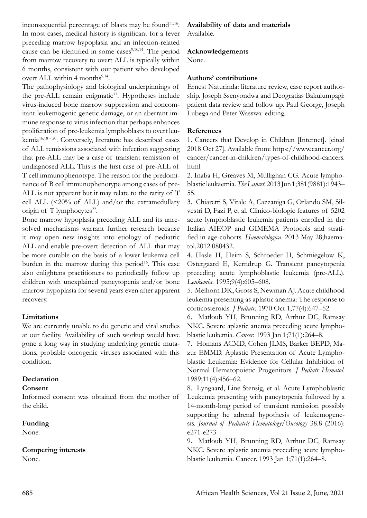inconsequential percentage of blasts may be found<sup>11,16</sup>. In most cases, medical history is significant for a fever preceding marrow hypoplasia and an infection-related cause can be identified in some cases $9,10,14$ . The period from marrow recovery to overt ALL is typically within 6 months, consistent with our patient who developed overt ALL within 4 months<sup>9,14</sup>.

The pathophysiology and biological underpinnings of the pre-ALL remain enigmatic<sup>11</sup>. Hypotheses include virus-induced bone marrow suppression and concomitant leukemogenic genetic damage, or an aberrant immune response to virus infection that perhaps enhances proliferation of pre-leukemia lymphoblasts to overt leukemia<sup>16,18 - 20</sup>. Conversely, literature has described cases of ALL remissions associated with infection suggesting that pre-ALL may be a case of transient remission of undiagnosed ALL. This is the first case of pre-ALL of T cell immunophenotype. The reason for the predominance of B cell immunophenotype among cases of pre-ALL is not apparent but it may relate to the rarity of T cell ALL  $\langle 20\% \text{ of ALL} \rangle$  and/or the extramedullary origin of  $T$  lymphocytes<sup>22</sup>.

Bone marrow hypoplasia preceding ALL and its unresolved mechanisms warrant further research because it may open new insights into etiology of pediatric ALL and enable pre-overt detection of ALL that may be more curable on the basis of a lower leukemia cell burden in the marrow during this period<sup>16</sup>. This case also enlightens practitioners to periodically follow up children with unexplained pancytopenia and/or bone marrow hypoplasia for several years even after apparent recovery.

### **Limitations**

We are currently unable to do genetic and viral studies at our facility. Availability of such workup would have gone a long way in studying underlying genetic mutations, probable oncogenic viruses associated with this condition.

### **Declaration**

### **Consent**

Informed consent was obtained from the mother of the child.

### **Funding**

None.

### **Competing interests**

None.

# **Availability of data and materials**

Available.

## **Acknowledgements**

None.

## **Authors' contributions**

Ernest Naturinda: literature review, case report authorship. Joseph Ssenyondwa and Deogratias Bakulumpagi: patient data review and follow up. Paul George, Joseph Lubega and Peter Wasswa: editing.

## **References**

1. Cancers that Develop in Children [Internet]. [cited 2018 Oct 27]. Available from: https://www.cancer.org/ cancer/cancer-in-children/types-of-childhood-cancers. html

2. Inaba H, Greaves M, Mullighan CG. Acute lymphoblastic leukaemia. *The Lancet*. 2013 Jun 1;381(9881):1943– 55.

3. Chiaretti S, Vitale A, Cazzaniga G, Orlando SM, Silvestri D, Fazi P, et al. Clinico-biologic features of 5202 acute lymphoblastic leukemia patients enrolled in the Italian AIEOP and GIMEMA Protocols and stratified in age-cohorts. *Haematologica*. 2013 May 28;haematol.2012.080432.

4. Hasle H, Heim S, Schroeder H, Schmiegelow K, Ostergaard E, Kerndrup G. Transient pancytopenia preceding acute lymphoblastic leukemia (pre-ALL). *Leukemia*. 1995;9(4):605–608.

5. Melhorn DK, Gross S, Newman AJ. Acute childhood leukemia presenting as aplastic anemia: The response to corticosteroids. *J Pediatr*. 1970 Oct 1;77(4):647–52.

6. Matloub YH, Brunning RD, Arthur DC, Ramsay NKC. Severe aplastic anemia preceding acute lymphoblastic leukemia. *Cancer*. 1993 Jan 1;71(1):264–8.

7. Homans ACMD, Cohen JLMS, Barker BEPD, Mazur EMMD. Aplastic Presentation of Acute Lymphoblastic Leukemia: Evidence for Cellular Inhibition of Normal Hematopoietic Progenitors. *J Pediatr Hematol*. 1989;11(4):456–62.

8. Lyngaard, Line Stensig, et al. Acute Lymphoblastic Leukemia presenting with pancytopenia followed by a 14-month-long period of transient remission possibly supporting he adrenal hypothesis of leukemogenesis. *Journal of Pediatric Hematology/Oncology* 38.8 (2016): e271-e273

9. Matloub YH, Brunning RD, Arthur DC, Ramsay NKC. Severe aplastic anemia preceding acute lymphoblastic leukemia. Cancer. 1993 Jan 1;71(1):264–8.